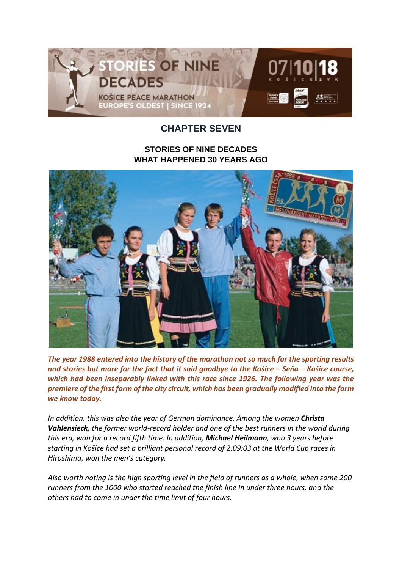

# **CHAPTER SEVEN**

## **STORIES OF NINE DECADES WHAT HAPPENED 30 YEARS AGO**



*The year 1988 entered into the history of the marathon not so much for the sporting results and stories but more for the fact that it said goodbye to the Košice – Seňa – Košice course, which had been inseparably linked with this race since 1926. The following year was the premiere of the first form of the city circuit, which has been gradually modified into the form we know today.*

*In addition, this was also the year of German dominance. Among the women Christa Vahlensieck, the former world-record holder and one of the best runners in the world during this era, won for a record fifth time. In addition, Michael Heilmann, who 3 years before starting in Košice had set a brilliant personal record of 2:09:03 at the World Cup races in Hiroshima, won the men's category.*

*Also worth noting is the high sporting level in the field of runners as a whole, when some 200 runners from the 1000 who started reached the finish line in under three hours, and the others had to come in under the time limit of four hours.*